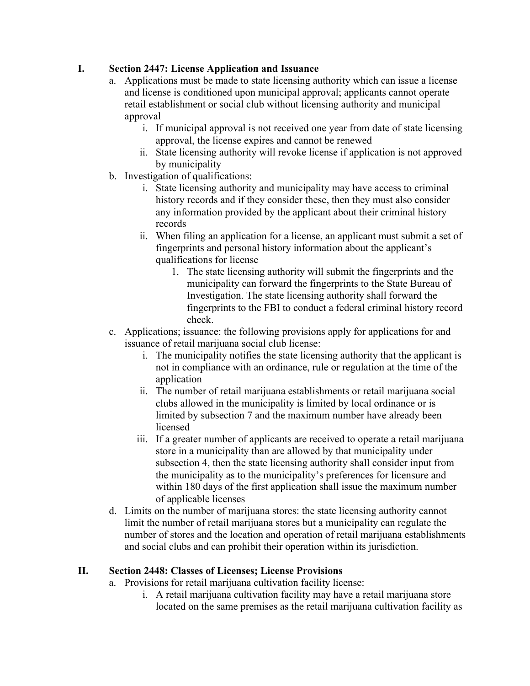#### **I. Section 2447: License Application and Issuance**

- a. Applications must be made to state licensing authority which can issue a license and license is conditioned upon municipal approval; applicants cannot operate retail establishment or social club without licensing authority and municipal approval
	- i. If municipal approval is not received one year from date of state licensing approval, the license expires and cannot be renewed
	- ii. State licensing authority will revoke license if application is not approved by municipality
- b. Investigation of qualifications:
	- i. State licensing authority and municipality may have access to criminal history records and if they consider these, then they must also consider any information provided by the applicant about their criminal history records
	- ii. When filing an application for a license, an applicant must submit a set of fingerprints and personal history information about the applicant's qualifications for license
		- 1. The state licensing authority will submit the fingerprints and the municipality can forward the fingerprints to the State Bureau of Investigation. The state licensing authority shall forward the fingerprints to the FBI to conduct a federal criminal history record check.
- c. Applications; issuance: the following provisions apply for applications for and issuance of retail marijuana social club license:
	- i. The municipality notifies the state licensing authority that the applicant is not in compliance with an ordinance, rule or regulation at the time of the application
	- ii. The number of retail marijuana establishments or retail marijuana social clubs allowed in the municipality is limited by local ordinance or is limited by subsection 7 and the maximum number have already been licensed
	- iii. If a greater number of applicants are received to operate a retail marijuana store in a municipality than are allowed by that municipality under subsection 4, then the state licensing authority shall consider input from the municipality as to the municipality's preferences for licensure and within 180 days of the first application shall issue the maximum number of applicable licenses
- d. Limits on the number of marijuana stores: the state licensing authority cannot limit the number of retail marijuana stores but a municipality can regulate the number of stores and the location and operation of retail marijuana establishments and social clubs and can prohibit their operation within its jurisdiction.

# **II. Section 2448: Classes of Licenses; License Provisions**

- a. Provisions for retail marijuana cultivation facility license:
	- i. A retail marijuana cultivation facility may have a retail marijuana store located on the same premises as the retail marijuana cultivation facility as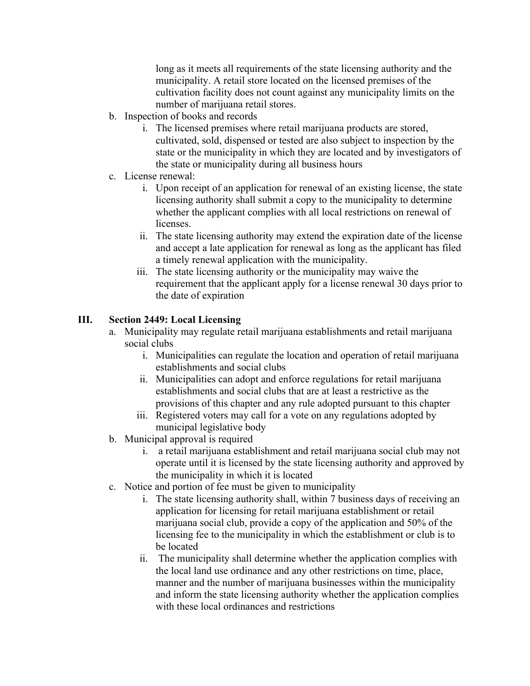long as it meets all requirements of the state licensing authority and the municipality. A retail store located on the licensed premises of the cultivation facility does not count against any municipality limits on the number of marijuana retail stores.

- b. Inspection of books and records
	- i. The licensed premises where retail marijuana products are stored, cultivated, sold, dispensed or tested are also subject to inspection by the state or the municipality in which they are located and by investigators of the state or municipality during all business hours
- c. License renewal:
	- i. Upon receipt of an application for renewal of an existing license, the state licensing authority shall submit a copy to the municipality to determine whether the applicant complies with all local restrictions on renewal of licenses.
	- ii. The state licensing authority may extend the expiration date of the license and accept a late application for renewal as long as the applicant has filed a timely renewal application with the municipality.
	- iii. The state licensing authority or the municipality may waive the requirement that the applicant apply for a license renewal 30 days prior to the date of expiration

# **III. Section 2449: Local Licensing**

- a. Municipality may regulate retail marijuana establishments and retail marijuana social clubs
	- i. Municipalities can regulate the location and operation of retail marijuana establishments and social clubs
	- ii. Municipalities can adopt and enforce regulations for retail marijuana establishments and social clubs that are at least a restrictive as the provisions of this chapter and any rule adopted pursuant to this chapter
	- iii. Registered voters may call for a vote on any regulations adopted by municipal legislative body
- b. Municipal approval is required
	- i. a retail marijuana establishment and retail marijuana social club may not operate until it is licensed by the state licensing authority and approved by the municipality in which it is located
- c. Notice and portion of fee must be given to municipality
	- i. The state licensing authority shall, within 7 business days of receiving an application for licensing for retail marijuana establishment or retail marijuana social club, provide a copy of the application and 50% of the licensing fee to the municipality in which the establishment or club is to be located
	- ii. The municipality shall determine whether the application complies with the local land use ordinance and any other restrictions on time, place, manner and the number of marijuana businesses within the municipality and inform the state licensing authority whether the application complies with these local ordinances and restrictions